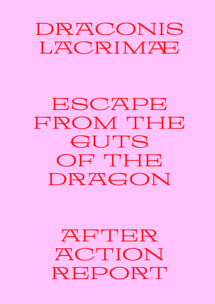## DRACONIS LACRIMAE

## ESCAPE FROM THE GUTS OF THE DRAGON

## AFTER ACTION REPORT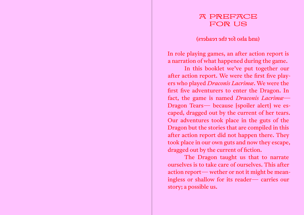### A PREFACE FOR US

(and also for the readers)

In role playing games, an after action report is a narration of what happened during the game.

 In this booklet we've put together our after action report. We were the first five players who played *Draconis Lacrimæ*. We were the first five adventurers to enter the Dragon. In fact, the game is named *Draconis Lacrimæ*— Dragon Tears— because [spoiler alert] we escaped, dragged out by the current of her tears. Our adventures took place in the guts of the Dragon but the stories that are compiled in this after action report did not happen there. They took place in our own guts and now they escape, dragged out by the current of fiction.

 The Dragon taught us that to narrate ourselves is to take care of ourselves. This after action report— wether or not it might be meaningless or shallow for its reader— carries our story; a possible us.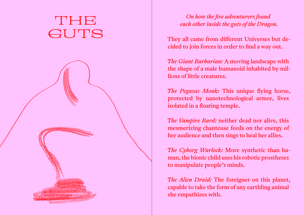## THE GUTS



### *On how the five adventurers found each other inside the guts of the Dragon.*

They all came from different Universes but decided to join forces in order to find a way out.

*The Giant Barbarian:* A moving landscape with the shape of a male humanoid inhabited by millions of little creatures.

*The Pegasus Monk:* This unique flying horse, protected by nanotechnological armor, lives isolated in a floating temple.

*The Vampire Bard:* neither dead nor alive, this mesmerizing chanteuse feeds on the energy of her audience and then sings to heal her allies.

*The Cyborg Warlock:* More synthetic than human, the bionic child uses his robotic prostheses to manipulate people's minds.

*The Alien Druid:* The foreigner on this planet, capable to take the form of any earthling animal she empathizes with.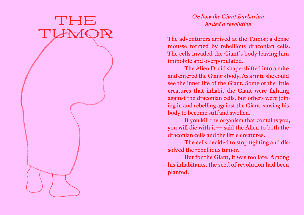# THE TUMOR

#### *On how the Giant Barbarian hosted a revolution*

The adventurers arrived at the Tumor; a dense mousse formed by rebellious draconian cells. The cells invaded the Giant's body leaving him immobile and overpopulated.

 The Alien Druid shape-shifted into a mite and entered the Giant's body. As a mite she could see the inner life of the Giant. Some of the little creatures that inhabit the Giant were fighting against the draconian cells, but others were joining in and rebelling against the Giant causing his body to become stiff and swollen.

 If you kill the organism that contains you, you will die with it— said the Alien to both the draconian cells and the little creatures.

 The cells decided to stop fighting and dissolved the rebellious tumor.

 But for the Giant, it was too late. Among his inhabitants, the seed of revolution had been planted.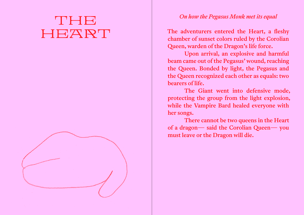## THE HEART



#### *On how the Pegasus Monk met its equal*

The adventurers entered the Heart, a fleshy chamber of sunset colors ruled by the Corolian Queen, warden of the Dragon's life force.

 Upon arrival, an explosive and harmful beam came out of the Pegasus' wound, reaching the Queen. Bonded by light, the Pegasus and the Queen recognized each other as equals: two bearers of life.

 The Giant went into defensive mode, protecting the group from the light explosion, while the Vampire Bard healed everyone with her songs.

 There cannot be two queens in the Heart of a dragon— said the Corolian Queen— you must leave or the Dragon will die.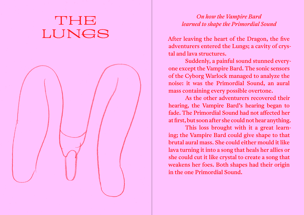# THE LUNGS



#### *On how the Vampire Bard learned to shape the Primordial Sound*

After leaving the heart of the Dragon, the five adventurers entered the Lungs; a cavity of crystal and lava structures.

 Suddenly, a painful sound stunned everyone except the Vampire Bard. The sonic sensors of the Cyborg Warlock managed to analyze the noise: it was the Primordial Sound, an aural mass containing every possible overtone.

 As the other adventurers recovered their hearing, the Vampire Bard's hearing began to fade. The Primordial Sound had not affected her at first, but soon after she could not hear anything.

 This loss brought with it a great learning; the Vampire Bard could give shape to that brutal aural mass. She could either mould it like lava turning it into a song that heals her allies or she could cut it like crystal to create a song that weakens her foes. Both shapes had their origin in the one Primordial Sound.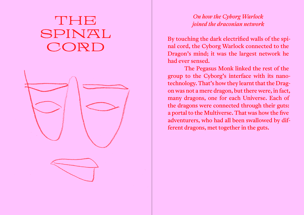# THE SPINAL CORD



#### *On how the Cyborg Warlock joined the draconian network*

By touching the dark electrified walls of the spinal cord, the Cyborg Warlock connected to the Dragon's mind; it was the largest network he had ever sensed.

 The Pegasus Monk linked the rest of the group to the Cyborg's interface with its nanotechnology. That's how they learnt that the Dragon was not a mere dragon, but there were, in fact, many dragons, one for each Universe. Each of the dragons were connected through their guts: a portal to the Multiverse. That was how the five adventurers, who had all been swallowed by different dragons, met together in the guts.